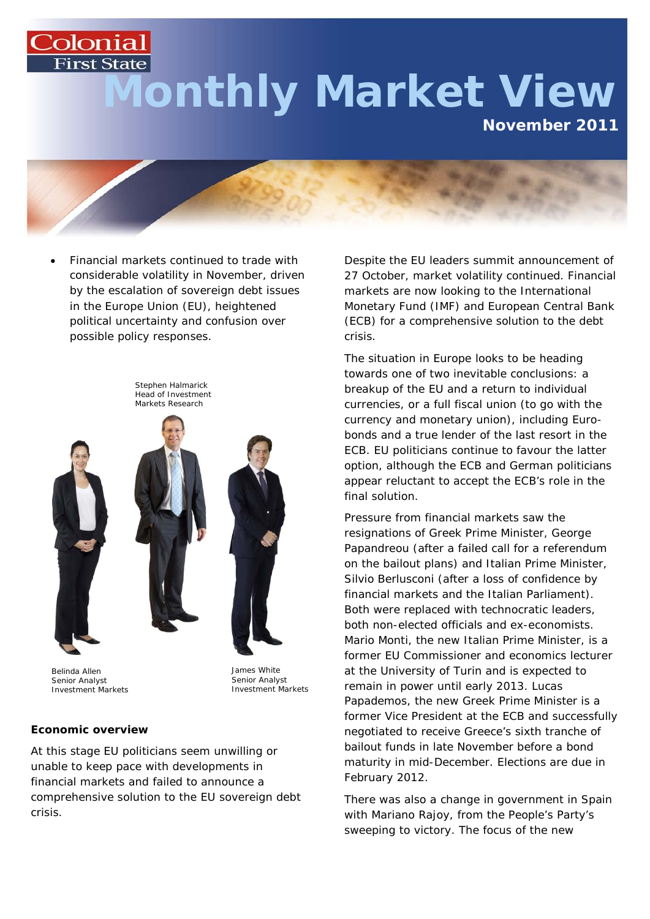# **First State Monthly Market View November 2011**



• Financial markets continued to trade with considerable volatility in November, driven by the escalation of sovereign debt issues in the Europe Union (EU), heightened political uncertainty and confusion over possible policy responses.



Belinda Allen Senior Analyst Investment Markets

Colonial

James White Senior Analyst Investment Markets

#### **Economic overview**

At this stage EU politicians seem unwilling or unable to keep pace with developments in financial markets and failed to announce a comprehensive solution to the EU sovereign debt crisis.

Despite the EU leaders summit announcement of 27 October, market volatility continued. Financial markets are now looking to the International Monetary Fund (IMF) and European Central Bank (ECB) for a comprehensive solution to the debt crisis.

The situation in Europe looks to be heading towards one of two inevitable conclusions: a breakup of the EU and a return to individual currencies, or a full fiscal union (to go with the currency and monetary union), including Eurobonds and a true lender of the last resort in the ECB. EU politicians continue to favour the latter option, although the ECB and German politicians appear reluctant to accept the ECB's role in the final solution.

Pressure from financial markets saw the resignations of Greek Prime Minister, George Papandreou (after a failed call for a referendum on the bailout plans) and Italian Prime Minister, Silvio Berlusconi (after a loss of confidence by financial markets and the Italian Parliament). Both were replaced with technocratic leaders, both non-elected officials and ex-economists. Mario Monti, the new Italian Prime Minister, is a former EU Commissioner and economics lecturer at the University of Turin and is expected to remain in power until early 2013. Lucas Papademos, the new Greek Prime Minister is a former Vice President at the ECB and successfully negotiated to receive Greece's sixth tranche of bailout funds in late November before a bond maturity in mid-December. Elections are due in February 2012.

There was also a change in government in Spain with Mariano Rajoy, from the People's Party's sweeping to victory. The focus of the new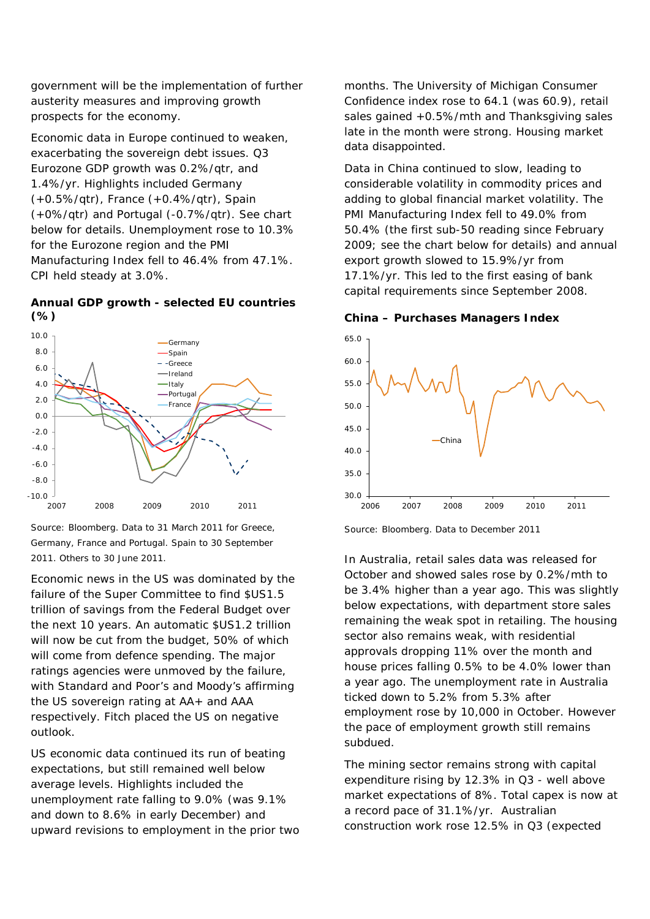government will be the implementation of further austerity measures and improving growth prospects for the economy.

Economic data in Europe continued to weaken, exacerbating the sovereign debt issues. Q3 Eurozone GDP growth was 0.2%/qtr, and 1.4%/yr. Highlights included Germany (+0.5%/qtr), France (+0.4%/qtr), Spain (+0%/qtr) and Portugal (-0.7%/qtr). See chart below for details. Unemployment rose to 10.3% for the Eurozone region and the PMI Manufacturing Index fell to 46.4% from 47.1%. CPI held steady at 3.0%.

#### **Annual GDP growth - selected EU countries (%)**



Source: Bloomberg. Data to 31 March 2011 for Greece, Germany, France and Portugal. Spain to 30 September 2011. Others to 30 June 2011.

Economic news in the US was dominated by the failure of the Super Committee to find \$US1.5 trillion of savings from the Federal Budget over the next 10 years. An automatic \$US1.2 trillion will now be cut from the budget, 50% of which will come from defence spending. The major ratings agencies were unmoved by the failure, with Standard and Poor's and Moody's affirming the US sovereign rating at AA+ and AAA respectively. Fitch placed the US on negative outlook.

US economic data continued its run of beating expectations, but still remained well below average levels. Highlights included the unemployment rate falling to 9.0% (was 9.1% and down to 8.6% in early December) and upward revisions to employment in the prior two months. The University of Michigan Consumer Confidence index rose to 64.1 (was 60.9), retail sales gained +0.5%/mth and Thanksgiving sales late in the month were strong. Housing market data disappointed.

Data in China continued to slow, leading to considerable volatility in commodity prices and adding to global financial market volatility. The PMI Manufacturing Index fell to 49.0% from 50.4% (the first sub-50 reading since February 2009; see the chart below for details) and annual export growth slowed to 15.9%/yr from 17.1%/yr. This led to the first easing of bank capital requirements since September 2008.

#### **China – Purchases Managers Index**



Source: Bloomberg. Data to December 2011

In Australia, retail sales data was released for October and showed sales rose by 0.2%/mth to be 3.4% higher than a year ago. This was slightly below expectations, with department store sales remaining the weak spot in retailing. The housing sector also remains weak, with residential approvals dropping 11% over the month and house prices falling 0.5% to be 4.0% lower than a year ago. The unemployment rate in Australia ticked down to 5.2% from 5.3% after employment rose by 10,000 in October. However the pace of employment growth still remains subdued.

The mining sector remains strong with capital expenditure rising by 12.3% in Q3 - well above market expectations of 8%. Total capex is now at a record pace of 31.1%/yr. Australian construction work rose 12.5% in Q3 (expected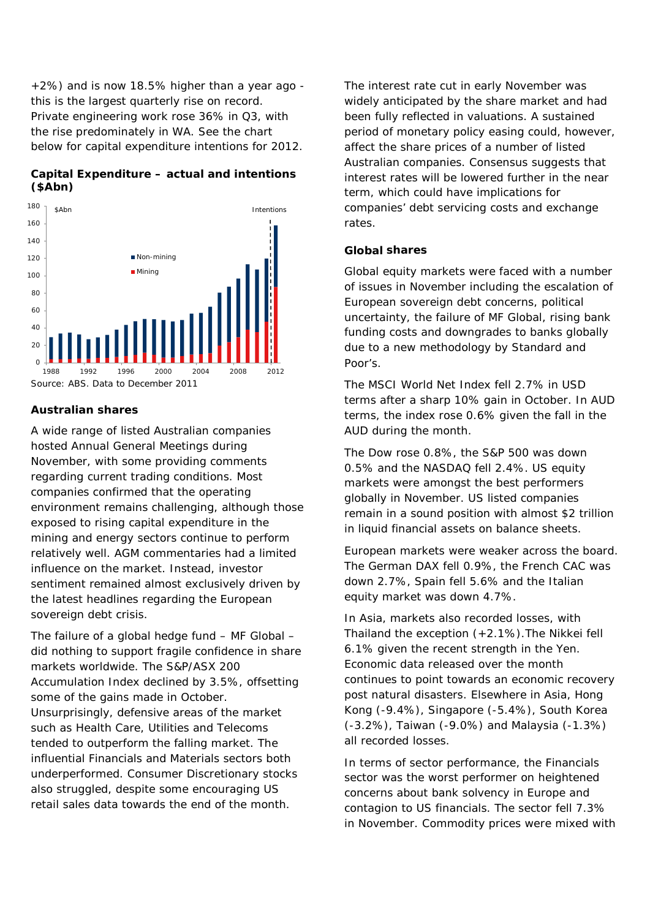+2%) and is now 18.5% higher than a year ago this is the largest quarterly rise on record. Private engineering work rose 36% in Q3, with the rise predominately in WA. See the chart below for capital expenditure intentions for 2012.

# **Capital Expenditure – actual and intentions (\$Abn)**



### **Australian shares**

A wide range of listed Australian companies hosted Annual General Meetings during November, with some providing comments regarding current trading conditions. Most companies confirmed that the operating environment remains challenging, although those exposed to rising capital expenditure in the mining and energy sectors continue to perform relatively well. AGM commentaries had a limited influence on the market. Instead, investor sentiment remained almost exclusively driven by the latest headlines regarding the European sovereign debt crisis.

The failure of a global hedge fund – MF Global – did nothing to support fragile confidence in share markets worldwide. The S&P/ASX 200 Accumulation Index declined by 3.5%, offsetting some of the gains made in October. Unsurprisingly, defensive areas of the market such as Health Care, Utilities and Telecoms tended to outperform the falling market. The influential Financials and Materials sectors both underperformed. Consumer Discretionary stocks also struggled, despite some encouraging US retail sales data towards the end of the month.

The interest rate cut in early November was widely anticipated by the share market and had been fully reflected in valuations. A sustained period of monetary policy easing could, however, affect the share prices of a number of listed Australian companies. Consensus suggests that interest rates will be lowered further in the near term, which could have implications for companies' debt servicing costs and exchange rates.

### **Global shares**

Global equity markets were faced with a number of issues in November including the escalation of European sovereign debt concerns, political uncertainty, the failure of MF Global, rising bank funding costs and downgrades to banks globally due to a new methodology by Standard and Poor's.

The MSCI World Net Index fell 2.7% in USD terms after a sharp 10% gain in October. In AUD terms, the index rose 0.6% given the fall in the AUD during the month.

The Dow rose 0.8%, the S&P 500 was down 0.5% and the NASDAQ fell 2.4%. US equity markets were amongst the best performers globally in November. US listed companies remain in a sound position with almost \$2 trillion in liquid financial assets on balance sheets.

European markets were weaker across the board. The German DAX fell 0.9%, the French CAC was down 2.7%, Spain fell 5.6% and the Italian equity market was down 4.7%.

In Asia, markets also recorded losses, with Thailand the exception (+2.1%).The Nikkei fell 6.1% given the recent strength in the Yen. Economic data released over the month continues to point towards an economic recovery post natural disasters. Elsewhere in Asia, Hong Kong (-9.4%), Singapore (-5.4%), South Korea (-3.2%), Taiwan (-9.0%) and Malaysia (-1.3%) all recorded losses.

In terms of sector performance, the Financials sector was the worst performer on heightened concerns about bank solvency in Europe and contagion to US financials. The sector fell 7.3% in November. Commodity prices were mixed with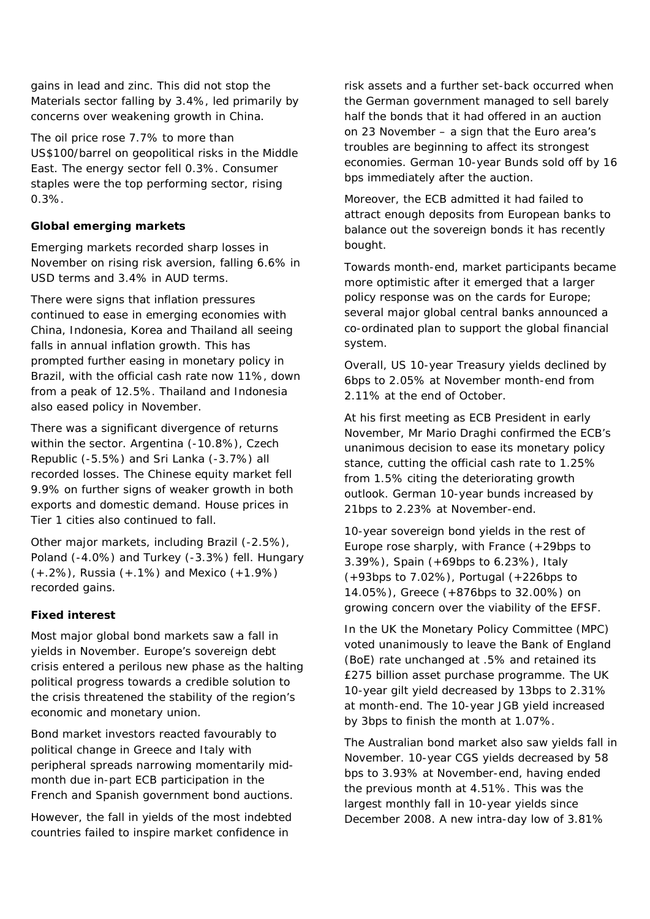gains in lead and zinc. This did not stop the Materials sector falling by 3.4%, led primarily by concerns over weakening growth in China.

The oil price rose 7.7% to more than US\$100/barrel on geopolitical risks in the Middle East. The energy sector fell 0.3%. Consumer staples were the top performing sector, rising 0.3%.

# **Global emerging markets**

Emerging markets recorded sharp losses in November on rising risk aversion, falling 6.6% in USD terms and 3.4% in AUD terms.

There were signs that inflation pressures continued to ease in emerging economies with China, Indonesia, Korea and Thailand all seeing falls in annual inflation growth. This has prompted further easing in monetary policy in Brazil, with the official cash rate now 11%, down from a peak of 12.5%. Thailand and Indonesia also eased policy in November.

There was a significant divergence of returns within the sector. Argentina (-10.8%), Czech Republic (-5.5%) and Sri Lanka (-3.7%) all recorded losses. The Chinese equity market fell 9.9% on further signs of weaker growth in both exports and domestic demand. House prices in Tier 1 cities also continued to fall.

Other major markets, including Brazil (-2.5%), Poland (-4.0%) and Turkey (-3.3%) fell. Hungary (+.2%), Russia (+.1%) and Mexico (+1.9%) recorded gains.

#### **Fixed interest**

Most major global bond markets saw a fall in yields in November. Europe's sovereign debt crisis entered a perilous new phase as the halting political progress towards a credible solution to the crisis threatened the stability of the region's economic and monetary union.

Bond market investors reacted favourably to political change in Greece and Italy with peripheral spreads narrowing momentarily midmonth due in-part ECB participation in the French and Spanish government bond auctions.

However, the fall in yields of the most indebted countries failed to inspire market confidence in

risk assets and a further set-back occurred when the German government managed to sell barely half the bonds that it had offered in an auction on 23 November – a sign that the Euro area's troubles are beginning to affect its strongest economies. German 10-year Bunds sold off by 16 bps immediately after the auction.

Moreover, the ECB admitted it had failed to attract enough deposits from European banks to balance out the sovereign bonds it has recently bought.

Towards month-end, market participants became more optimistic after it emerged that a larger policy response was on the cards for Europe; several major global central banks announced a co-ordinated plan to support the global financial system.

Overall, US 10-year Treasury yields declined by 6bps to 2.05% at November month-end from 2.11% at the end of October.

At his first meeting as ECB President in early November, Mr Mario Draghi confirmed the ECB's unanimous decision to ease its monetary policy stance, cutting the official cash rate to 1.25% from 1.5% citing the deteriorating growth outlook. German 10-year bunds increased by 21bps to 2.23% at November-end.

10-year sovereign bond yields in the rest of Europe rose sharply, with France (+29bps to 3.39%), Spain (+69bps to 6.23%), Italy (+93bps to 7.02%), Portugal (+226bps to 14.05%), Greece (+876bps to 32.00%) on growing concern over the viability of the EFSF.

In the UK the Monetary Policy Committee (MPC) voted unanimously to leave the Bank of England (BoE) rate unchanged at .5% and retained its £275 billion asset purchase programme. The UK 10-year gilt yield decreased by 13bps to 2.31% at month-end. The 10-year JGB yield increased by 3bps to finish the month at 1.07%.

The Australian bond market also saw yields fall in November. 10-year CGS yields decreased by 58 bps to 3.93% at November-end, having ended the previous month at 4.51%. This was the largest monthly fall in 10-year yields since December 2008. A new intra-day low of 3.81%